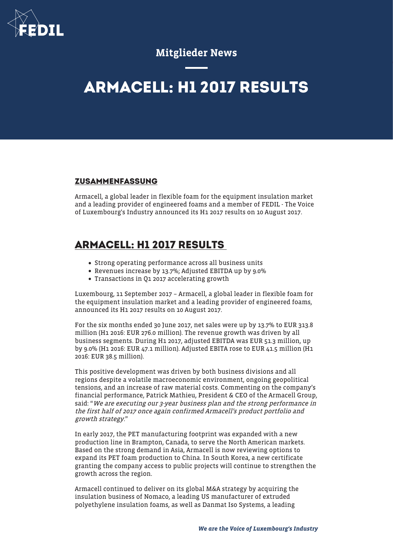

## Mitglieder News

## **ARMACELL: H1 2017 RESULTS**

## **ZUSAMMENFASSUNG**

Armacell, a global leader in flexible foam for the equipment insulation market and a leading provider of engineered foams and a member of FEDIL - The Voice of Luxembourg's Industry announced its H1 2017 results on 10 August 2017.

## **ARMACELL: H1 2017 RESULTS**

- Strong operating performance across all business units
- Revenues increase by 13.7%; Adjusted EBITDA up by 9.0%
- Transactions in Q1 2017 accelerating growth

Luxembourg, 11 September 2017 – Armacell, a global leader in flexible foam for the equipment insulation market and a leading provider of engineered foams, announced its H1 2017 results on 10 August 2017.

For the six months ended 30 June 2017, net sales were up by 13.7% to EUR 313.8 million (H1 2016: EUR 276.0 million). The revenue growth was driven by all business segments. During H1 2017, adjusted EBITDA was EUR 51.3 million, up by 9.0% (H1 2016: EUR 47.1 million). Adjusted EBITA rose to EUR 41.5 million (H1 2016: EUR 38.5 million).

This positive development was driven by both business divisions and all regions despite a volatile macroeconomic environment, ongoing geopolitical tensions, and an increase of raw material costs. Commenting on the company's financial performance, Patrick Mathieu, President & CEO of the Armacell Group, said: "We are executing our 3-year business plan and the strong performance in the first half of 2017 once again confirmed Armacell's product portfolio and growth strategy."

In early 2017, the PET manufacturing footprint was expanded with a new production line in Brampton, Canada, to serve the North American markets. Based on the strong demand in Asia, Armacell is now reviewing options to expand its PET foam production to China. In South Korea, a new certificate granting the company access to public projects will continue to strengthen the growth across the region.

Armacell continued to deliver on its global M&A strategy by acquiring the insulation business of Nomaco, a leading US manufacturer of extruded polyethylene insulation foams, as well as Danmat Iso Systems, a leading